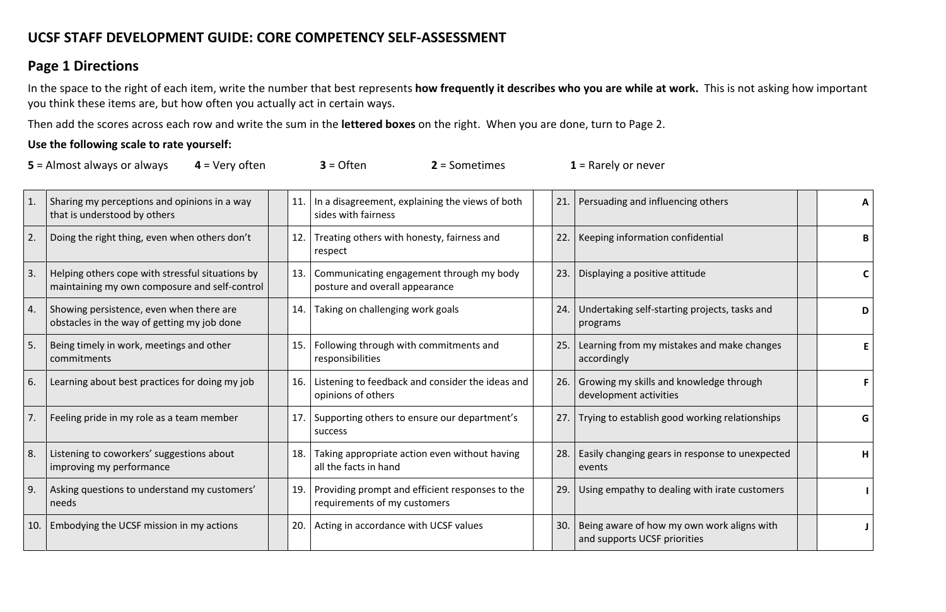# **UCSF STAFF DEVELOPMENT GUIDE: CORE COMPETENCY SELF-ASSESSMENT**

### **Page 1 Directions**

In the space to the right of each item, write the number that best represents **how frequently it describes who you are while at work.** This is not asking how important you think these items are, but how often you actually act in certain ways.

Then add the scores across each row and write the sum in the **lettered boxes** on the right. When you are done, turn to Page 2.

### **Use the following scale to rate yourself:**

| $5 =$ Almost always or always | $4$ = Very often | $3 =$ Often | $2 =$ Sometimes | $1$ = Rarely or never |
|-------------------------------|------------------|-------------|-----------------|-----------------------|
|-------------------------------|------------------|-------------|-----------------|-----------------------|

|     | Sharing my perceptions and opinions in a way<br>that is understood by others                      | In a disagreement, explaining the views of both<br>11.<br>sides with fairness          | 21. | Persuading and influencing others                                          | A |
|-----|---------------------------------------------------------------------------------------------------|----------------------------------------------------------------------------------------|-----|----------------------------------------------------------------------------|---|
| 2.  | Doing the right thing, even when others don't                                                     | Treating others with honesty, fairness and<br>12.<br>respect                           | 22. | Keeping information confidential                                           | B |
| 3.  | Helping others cope with stressful situations by<br>maintaining my own composure and self-control | 13.<br>Communicating engagement through my body<br>posture and overall appearance      | 23. | Displaying a positive attitude                                             | C |
| 4.  | Showing persistence, even when there are<br>obstacles in the way of getting my job done           | Taking on challenging work goals<br>14.                                                | 24. | Undertaking self-starting projects, tasks and<br>programs                  | D |
| 5.  | Being timely in work, meetings and other<br>commitments                                           | Following through with commitments and<br>15.<br>responsibilities                      | 25. | Learning from my mistakes and make changes<br>accordingly                  | E |
| 6.  | Learning about best practices for doing my job                                                    | Listening to feedback and consider the ideas and<br>16.<br>opinions of others          | 26. | Growing my skills and knowledge through<br>development activities          |   |
|     | Feeling pride in my role as a team member                                                         | Supporting others to ensure our department's<br>17.<br>success                         | 27. | Trying to establish good working relationships                             | G |
| 8.  | Listening to coworkers' suggestions about<br>improving my performance                             | 18.<br>Taking appropriate action even without having<br>all the facts in hand          | 28. | Easily changing gears in response to unexpected<br>events                  | H |
| 9.  | Asking questions to understand my customers'<br>needs                                             | Providing prompt and efficient responses to the<br>19.<br>requirements of my customers | 29. | Using empathy to dealing with irate customers                              |   |
| 10. | Embodying the UCSF mission in my actions                                                          | Acting in accordance with UCSF values<br>20.                                           | 30. | Being aware of how my own work aligns with<br>and supports UCSF priorities |   |